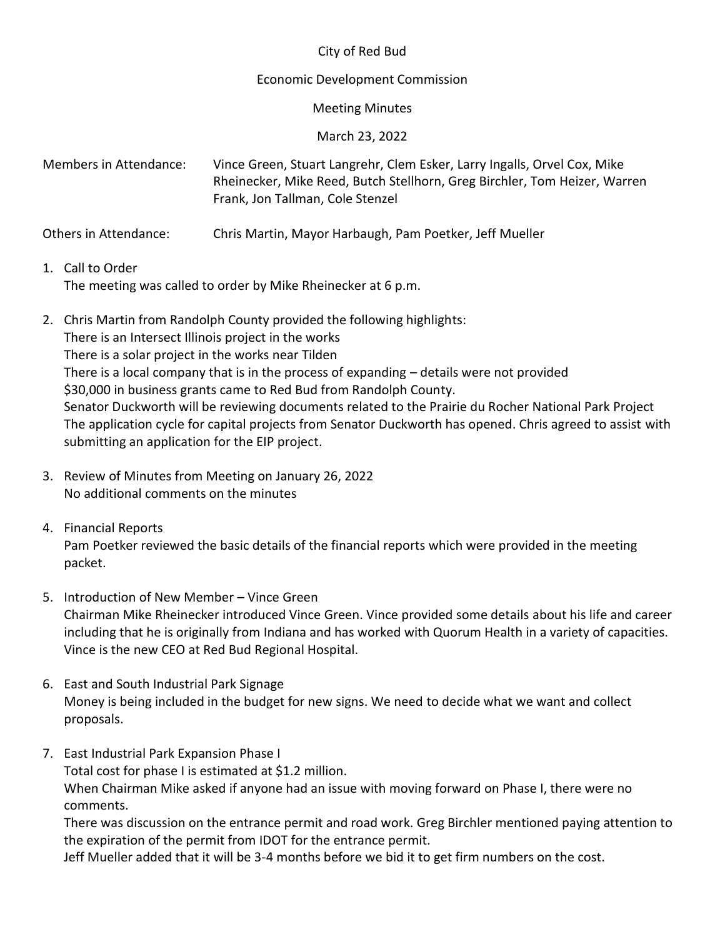### City of Red Bud

#### Economic Development Commission

#### Meeting Minutes

March 23, 2022

Members in Attendance: Vince Green, Stuart Langrehr, Clem Esker, Larry Ingalls, Orvel Cox, Mike Rheinecker, Mike Reed, Butch Stellhorn, Greg Birchler, Tom Heizer, Warren Frank, Jon Tallman, Cole Stenzel

Others in Attendance: Chris Martin, Mayor Harbaugh, Pam Poetker, Jeff Mueller

- 1. Call to Order The meeting was called to order by Mike Rheinecker at 6 p.m.
- 2. Chris Martin from Randolph County provided the following highlights: There is an Intersect Illinois project in the works There is a solar project in the works near Tilden There is a local company that is in the process of expanding – details were not provided \$30,000 in business grants came to Red Bud from Randolph County. Senator Duckworth will be reviewing documents related to the Prairie du Rocher National Park Project The application cycle for capital projects from Senator Duckworth has opened. Chris agreed to assist with submitting an application for the EIP project.
- 3. Review of Minutes from Meeting on January 26, 2022 No additional comments on the minutes
- 4. Financial Reports Pam Poetker reviewed the basic details of the financial reports which were provided in the meeting packet.
- 5. Introduction of New Member Vince Green Chairman Mike Rheinecker introduced Vince Green. Vince provided some details about his life and career including that he is originally from Indiana and has worked with Quorum Health in a variety of capacities. Vince is the new CEO at Red Bud Regional Hospital.
- 6. East and South Industrial Park Signage Money is being included in the budget for new signs. We need to decide what we want and collect proposals.
- 7. East Industrial Park Expansion Phase I

Total cost for phase I is estimated at \$1.2 million. When Chairman Mike asked if anyone had an issue with moving forward on Phase I, there were no comments.

There was discussion on the entrance permit and road work. Greg Birchler mentioned paying attention to the expiration of the permit from IDOT for the entrance permit.

Jeff Mueller added that it will be 3-4 months before we bid it to get firm numbers on the cost.